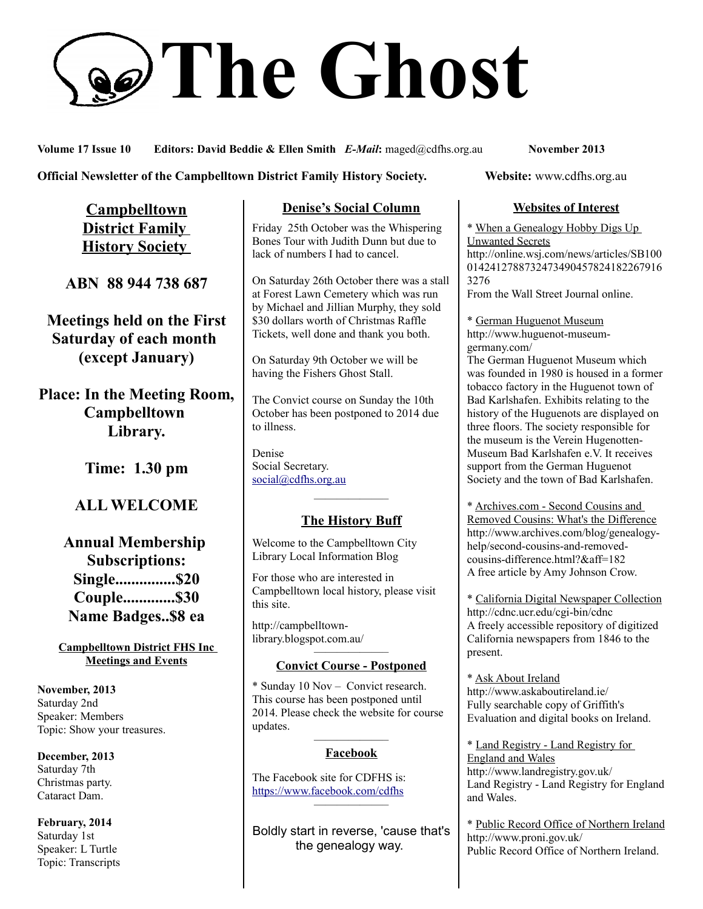# **The Ghost**

**Volume 17 Issue 10 Editors: David Beddie & Ellen Smith** *E-Mail***:** maged@cdfhs.org.au **November 2013**

**Official Newsletter of the Campbelltown District Family History Society. Website: www.cdfhs.org.au** 

**Campbelltown District Family History Society** 

**ABN 88 944 738 687**

**Meetings held on the First Saturday of each month (except January)**

**Place: In the Meeting Room, Campbelltown Library.**

**Time: 1.30 pm**

# **ALL WELCOME**

**Annual Membership Subscriptions: Single...............\$20 Couple.............\$30 Name Badges..\$8 ea**

**Campbelltown District FHS Inc Meetings and Events**

**November, 2013** Saturday 2nd Speaker: Members Topic: Show your treasures.

**December, 2013** Saturday 7th Christmas party. Cataract Dam.

**February, 2014** Saturday 1st Speaker: L Turtle Topic: Transcripts

## **Denise's Social Column**

Friday 25th October was the Whispering Bones Tour with Judith Dunn but due to lack of numbers I had to cancel.

On Saturday 26th October there was a stall at Forest Lawn Cemetery which was run by Michael and Jillian Murphy, they sold \$30 dollars worth of Christmas Raffle Tickets, well done and thank you both.

On Saturday 9th October we will be having the Fishers Ghost Stall.

The Convict course on Sunday the 10th October has been postponed to 2014 due to illness.

Denise Social Secretary. [social@cdfhs.org.au](mailto:social@cdfhs.org.au)

# ——————– **The History Buff**

Welcome to the Campbelltown City Library Local Information Blog

For those who are interested in Campbelltown local history, please visit this site.

http://campbelltownlibrary.blogspot.com.au/ ——————–

#### **Convict Course - Postponed**

\* Sunday 10 Nov – Convict research. This course has been postponed until 2014. Please check the website for course updates.

#### ——————– **Facebook**

The Facebook site for CDFHS is: <https://www.facebook.com/cdfhs>

Boldly start in reverse, 'cause that's the genealogy way.

——————–

#### **Websites of Interest**

\* When a Genealogy Hobby Digs Up Unwanted Secrets http://online.wsj.com/news/articles/SB100 0142412788732473490457824182267916 3276 From the Wall Street Journal online.

\* German Huguenot Museum http://www.huguenot-museumgermany.com/

The German Huguenot Museum which was founded in 1980 is housed in a former tobacco factory in the Huguenot town of Bad Karlshafen. Exhibits relating to the history of the Huguenots are displayed on three floors. The society responsible for the museum is the Verein Hugenotten-Museum Bad Karlshafen e.V. It receives support from the German Huguenot Society and the town of Bad Karlshafen.

\* Archives.com - Second Cousins and Removed Cousins: What's the Difference http://www.archives.com/blog/genealogyhelp/second-cousins-and-removedcousins-difference.html?&aff=182 A free article by Amy Johnson Crow.

\* California Digital Newspaper Collection http://cdnc.ucr.edu/cgi-bin/cdnc A freely accessible repository of digitized California newspapers from 1846 to the present.

\* Ask About Ireland http://www.askaboutireland.ie/ Fully searchable copy of Griffith's Evaluation and digital books on Ireland.

\* Land Registry - Land Registry for England and Wales http://www.landregistry.gov.uk/ Land Registry - Land Registry for England and Wales.

\* Public Record Office of Northern Ireland http://www.proni.gov.uk/ Public Record Office of Northern Ireland.